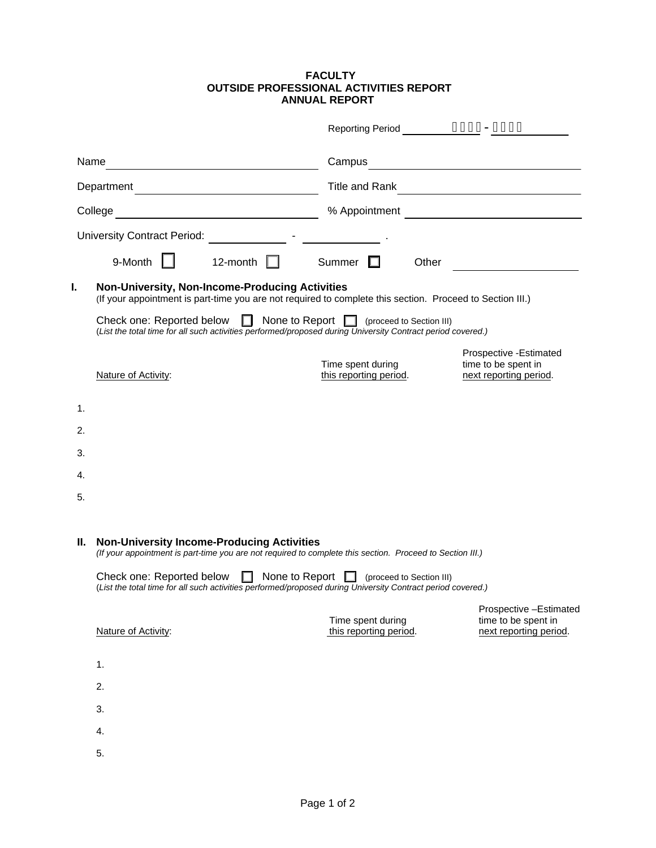## **FACULTY OUTSIDE PROFESSIONAL ACTIVITIES REPORT ANNUAL REPORT**

|            |                                                                                                                                                                                                                                                                                                                                                                  | <b>Reporting Period</b>                     | AAAA-AAAA                                                                |
|------------|------------------------------------------------------------------------------------------------------------------------------------------------------------------------------------------------------------------------------------------------------------------------------------------------------------------------------------------------------------------|---------------------------------------------|--------------------------------------------------------------------------|
| Name       |                                                                                                                                                                                                                                                                                                                                                                  | Campus                                      |                                                                          |
| Department |                                                                                                                                                                                                                                                                                                                                                                  | Title and Rank                              |                                                                          |
| College    |                                                                                                                                                                                                                                                                                                                                                                  | % Appointment                               |                                                                          |
|            | <b>University Contract Period:</b>                                                                                                                                                                                                                                                                                                                               |                                             |                                                                          |
|            | 9-Month<br>12-month                                                                                                                                                                                                                                                                                                                                              | Summer<br>Other                             |                                                                          |
| I.         | <b>Non-University, Non-Income-Producing Activities</b><br>(If your appointment is part-time you are not required to complete this section. Proceed to Section III.)                                                                                                                                                                                              |                                             |                                                                          |
|            | Check one: Reported below<br>None to Report $\Box$ (proceed to Section III)<br>ш.<br>(List the total time for all such activities performed/proposed during University Contract period covered.)                                                                                                                                                                 |                                             |                                                                          |
|            | Nature of Activity:                                                                                                                                                                                                                                                                                                                                              | Time spent during<br>this reporting period. | Prospective - Estimated<br>time to be spent in<br>next reporting period. |
| 1.         |                                                                                                                                                                                                                                                                                                                                                                  |                                             |                                                                          |
| 2.         |                                                                                                                                                                                                                                                                                                                                                                  |                                             |                                                                          |
| 3.         |                                                                                                                                                                                                                                                                                                                                                                  |                                             |                                                                          |
| 4.         |                                                                                                                                                                                                                                                                                                                                                                  |                                             |                                                                          |
| 5.         |                                                                                                                                                                                                                                                                                                                                                                  |                                             |                                                                          |
| Ш.         | <b>Non-University Income-Producing Activities</b><br>(If your appointment is part-time you are not required to complete this section. Proceed to Section III.)<br>Check one: Reported below $\Box$ None to Report $\Box$ (proceed to Section III)<br>(List the total time for all such activities performed/proposed during University Contract period covered.) |                                             |                                                                          |
|            |                                                                                                                                                                                                                                                                                                                                                                  |                                             |                                                                          |
|            | Nature of Activity:                                                                                                                                                                                                                                                                                                                                              | Time spent during<br>this reporting period. | Prospective -Estimated<br>time to be spent in<br>next reporting period.  |
|            | 1.                                                                                                                                                                                                                                                                                                                                                               |                                             |                                                                          |
|            | 2.                                                                                                                                                                                                                                                                                                                                                               |                                             |                                                                          |
|            | 3.                                                                                                                                                                                                                                                                                                                                                               |                                             |                                                                          |
|            | 4.                                                                                                                                                                                                                                                                                                                                                               |                                             |                                                                          |
|            | 5.                                                                                                                                                                                                                                                                                                                                                               |                                             |                                                                          |